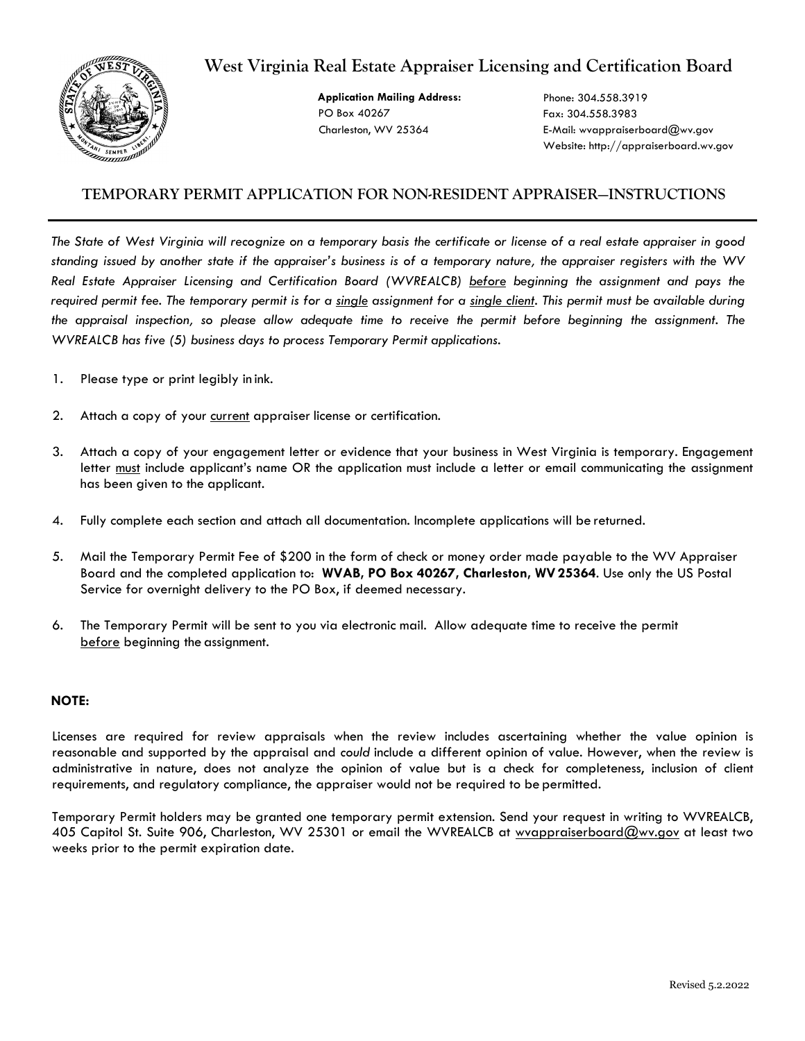# **West Virginia Real Estate Appraiser Licensing and Certification Board**



 **Application Mailing Address:**  PO Box 40267 Charleston, WV 25364

Phone: 304.558.3919 Fax: 304.558.3983 E-Ma[il: wvappraiserboard@wv.gov](mailto:wvappraiserboard@wv.gov) Website: http://appraiserboard.wv.gov

## **TEMPORARY PERMIT APPLICATION FOR NON-RESIDENT APPRAISER—INSTRUCTIONS**

*The State of West Virginia will recognize on a temporary basis the certificate or license of a real estate appraiser in good*  standing issued by another state if the appraiser's business is of a temporary nature, the appraiser registers with the WV *Real Estate Appraiser Licensing and Certification Board (WVREALCB) before beginning the assignment and pays the required permit fee. The temporary permit is for a single assignment for a single client. This permit must be available during the appraisal inspection, so please allow adequate time to receive the permit before beginning the assignment. The WVREALCB has five (5) business days to process Temporary Permit applications.* 

- 1. Please type or print legibly in ink.
- 2. Attach a copy of your current appraiser license or certification.
- 3. Attach a copy of your engagement letter or evidence that your business in West Virginia is temporary. Engagement letter must include applicant's name OR the application must include a letter or email communicating the assignment has been given to the applicant.
- 4. Fully complete each section and attach all documentation. Incomplete applications will be returned.
- 5. Mail the Temporary Permit Fee of \$200 in the form of check or money order made payable to the WV Appraiser Board and the completed application to: **WVAB, PO Box 40267, Charleston, WV25364**. Use only the US Postal Service for overnight delivery to the PO Box, if deemed necessary.
- 6. The Temporary Permit will be sent to you via electronic mail. Allow adequate time to receive the permit before beginning the assignment.

#### **NOTE:**

Licenses are required for review appraisals when the review includes ascertaining whether the value opinion is reasonable and supported by the appraisal and *could* include a different opinion of value. However, when the review is administrative in nature, does not analyze the opinion of value but is a check for completeness, inclusion of client requirements, and regulatory compliance, the appraiser would not be required to be permitted.

Temporary Permit holders may be granted one temporary permit extension. Send your request in writing to WVREALCB, 405 Capitol St. Suite 906, Charleston, WV 25301 or email the WVREALCB at [wvappraiserboard@wv.gov](mailto:wvappraiserboard@wv.gov) at least two weeks prior to the permit expiration date.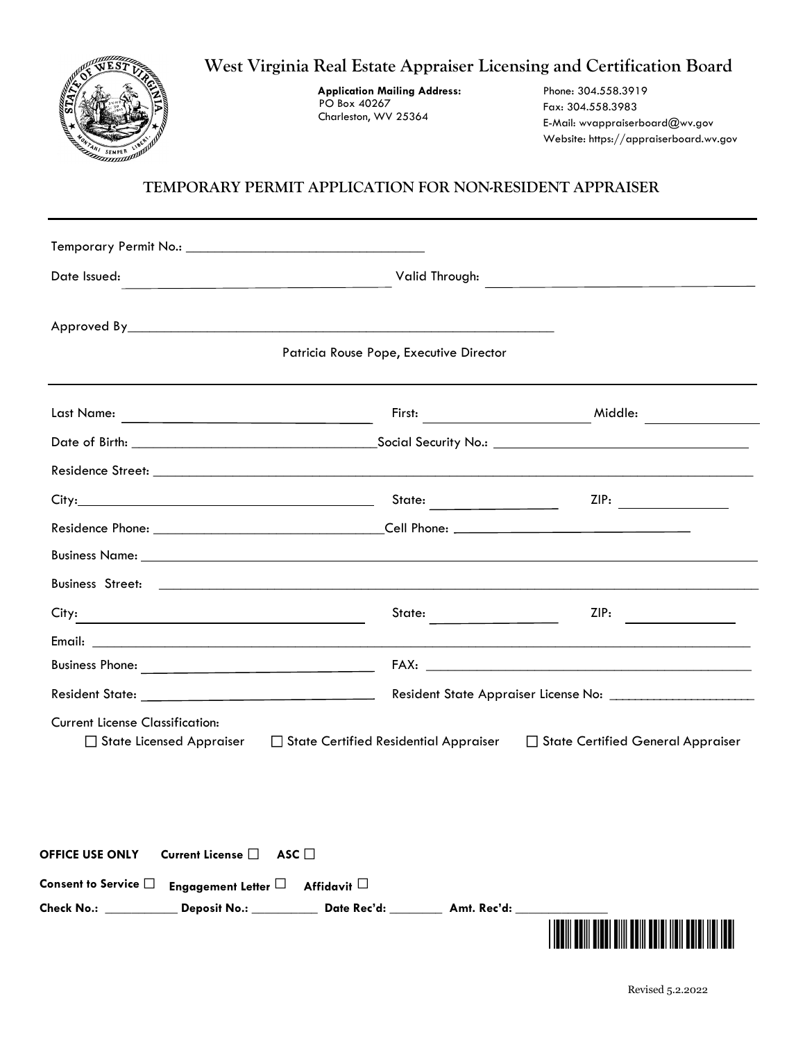

| Date Issued:<br>the control of the control of the control of the control of the control of the control of |                                              |                                     |  |  |  |
|-----------------------------------------------------------------------------------------------------------|----------------------------------------------|-------------------------------------|--|--|--|
|                                                                                                           |                                              |                                     |  |  |  |
| Patricia Rouse Pope, Executive Director                                                                   |                                              |                                     |  |  |  |
|                                                                                                           |                                              | Middle:                             |  |  |  |
|                                                                                                           |                                              |                                     |  |  |  |
|                                                                                                           |                                              |                                     |  |  |  |
|                                                                                                           | State:                                       | ZIP:                                |  |  |  |
|                                                                                                           |                                              |                                     |  |  |  |
|                                                                                                           |                                              |                                     |  |  |  |
|                                                                                                           |                                              |                                     |  |  |  |
| City:                                                                                                     | State:                                       | ZIP:                                |  |  |  |
|                                                                                                           |                                              |                                     |  |  |  |
|                                                                                                           |                                              |                                     |  |  |  |
| Resident State: New York President State:                                                                 |                                              |                                     |  |  |  |
| <b>Current License Classification:</b><br>$\Box$ State Licensed Appraiser                                 | $\Box$ State Certified Residential Appraiser | □ State Certified General Appraiser |  |  |  |

| Current License $\square$ ASC $\square$<br><b>OFFICE USE ONLY</b>            |             |
|------------------------------------------------------------------------------|-------------|
| Consent to Service $\square$ Engagement Letter $\square$ Affidavit $\square$ |             |
| Check No.: <b>Redistri</b><br>Date Rec'd:<br><b>Deposit No.:</b>             | Amt. Rec'd: |
|                                                                              |             |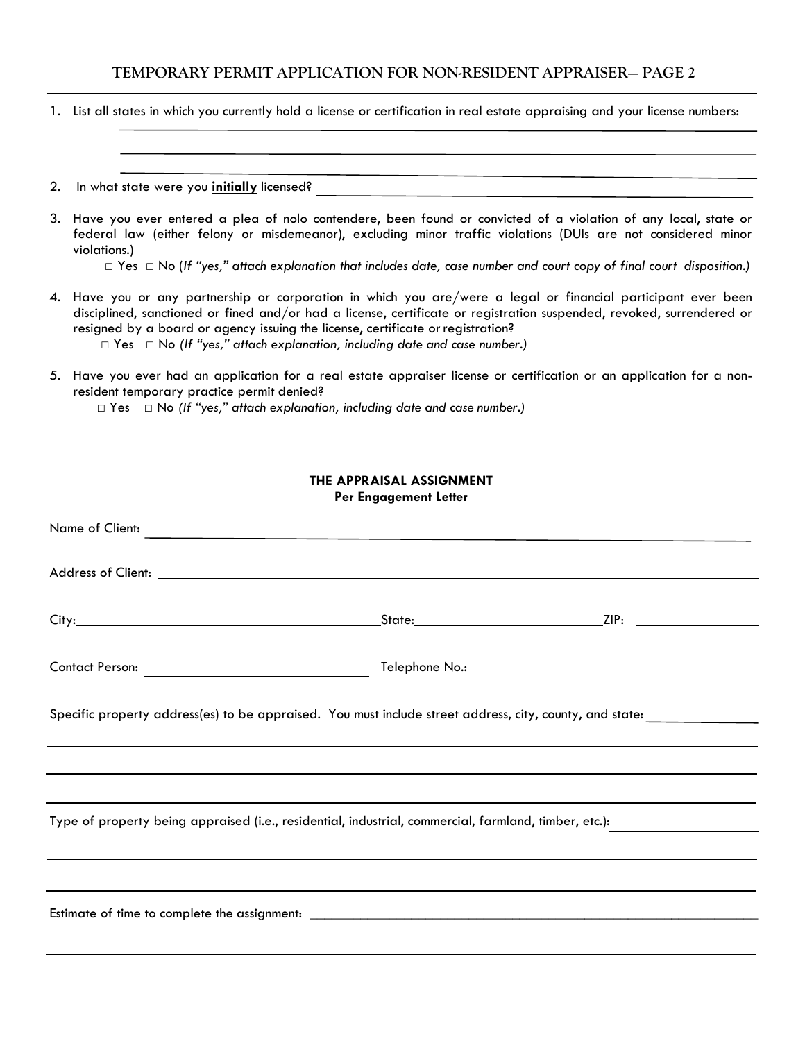1. List all states in which you currently hold a license or certification in real estate appraising and your license numbers:

#### 2. In what state were you **initially** licensed?

3. Have you ever entered a plea of nolo contendere, been found or convicted of a violation of any local, state or federal law (either felony or misdemeanor), excluding minor traffic violations (DUIs are not considered minor violations.)

□ Yes □ No (*If "yes," attach explanation that includes date, case number and court copy of final court disposition.)*

- 4. Have you or any partnership or corporation in which you are/were a legal or financial participant ever been disciplined, sanctioned or fined and/or had a license, certificate or registration suspended, revoked, surrendered or resigned by a board or agency issuing the license, certificate or registration? □ Yes □ No *(If "yes," attach explanation, including date and case number.)*
- 5. Have you ever had an application for a real estate appraiser license or certification or an application for a nonresident temporary practice permit denied?

□ Yes □ No *(If "yes," attach explanation, including date and case number.)*

#### **THE APPRAISAL ASSIGNMENT Per Engagement Letter**

| Name of Client:                                                                                          |  |  |  |  |  |
|----------------------------------------------------------------------------------------------------------|--|--|--|--|--|
|                                                                                                          |  |  |  |  |  |
|                                                                                                          |  |  |  |  |  |
|                                                                                                          |  |  |  |  |  |
| Specific property address(es) to be appraised. You must include street address, city, county, and state: |  |  |  |  |  |
|                                                                                                          |  |  |  |  |  |
| Type of property being appraised (i.e., residential, industrial, commercial, farmland, timber, etc.):    |  |  |  |  |  |
|                                                                                                          |  |  |  |  |  |
|                                                                                                          |  |  |  |  |  |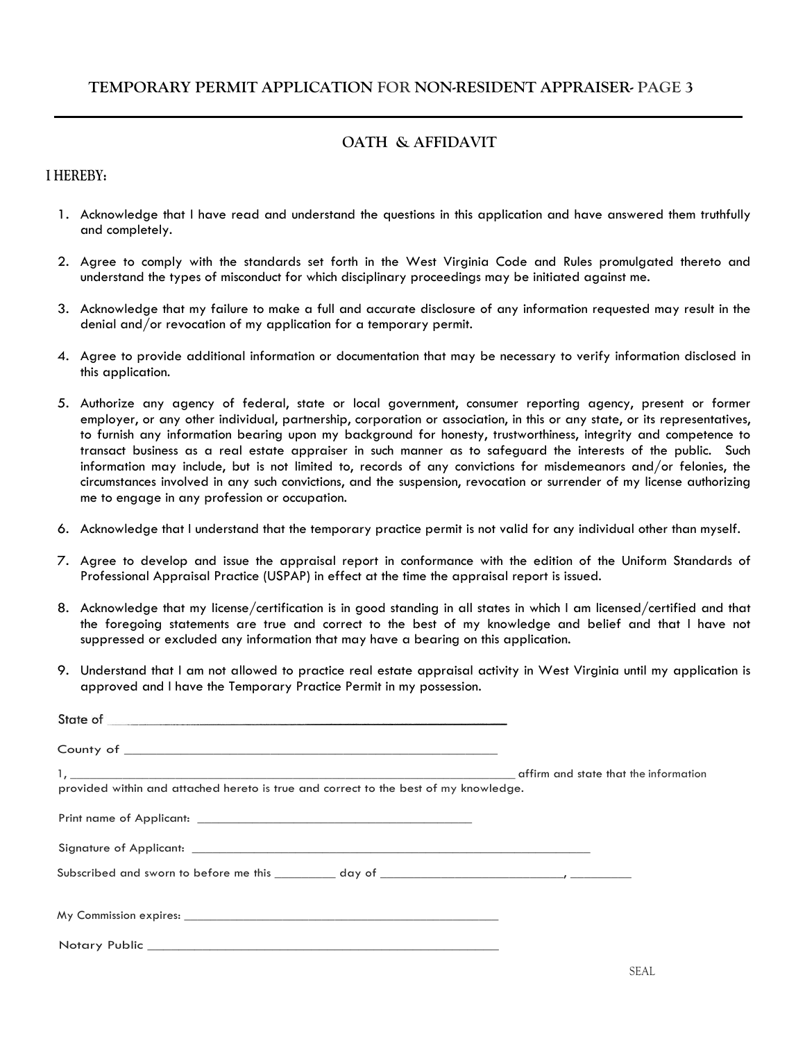## **OATH & AFFIDAVIT**

### **I HEREBY:**

- 1. Acknowledge that I have read and understand the questions in this application and have answered them truthfully and completely.
- 2. Agree to comply with the standards set forth in the West Virginia Code and Rules promulgated thereto and understand the types of misconduct for which disciplinary proceedings may be initiated against me.
- 3. Acknowledge that my failure to make a full and accurate disclosure of any information requested may result in the denial and/or revocation of my application for a temporary permit.
- 4. Agree to provide additional information or documentation that may be necessary to verify information disclosed in this application.
- 5. Authorize any agency of federal, state or local government, consumer reporting agency, present or former employer, or any other individual, partnership, corporation or association, in this or any state, or its representatives, to furnish any information bearing upon my background for honesty, trustworthiness, integrity and competence to transact business as a real estate appraiser in such manner as to safeguard the interests of the public. Such information may include, but is not limited to, records of any convictions for misdemeanors and/or felonies, the circumstances involved in any such convictions, and the suspension, revocation or surrender of my license authorizing me to engage in any profession or occupation.
- 6. Acknowledge that I understand that the temporary practice permit is not valid for any individual other than myself.
- 7. Agree to develop and issue the appraisal report in conformance with the edition of the Uniform Standards of Professional Appraisal Practice (USPAP) in effect at the time the appraisal report is issued.
- 8. Acknowledge that my license/certification is in good standing in all states in which I am licensed/certified and that the foregoing statements are true and correct to the best of my knowledge and belief and that I have not suppressed or excluded any information that may have a bearing on this application.
- 9. Understand that I am not allowed to practice real estate appraisal activity in West Virginia until my application is approved and I have the Temporary Practice Permit in my possession.

| provided within and attached hereto is true and correct to the best of my knowledge. |  |
|--------------------------------------------------------------------------------------|--|
|                                                                                      |  |
|                                                                                      |  |
|                                                                                      |  |
|                                                                                      |  |
|                                                                                      |  |